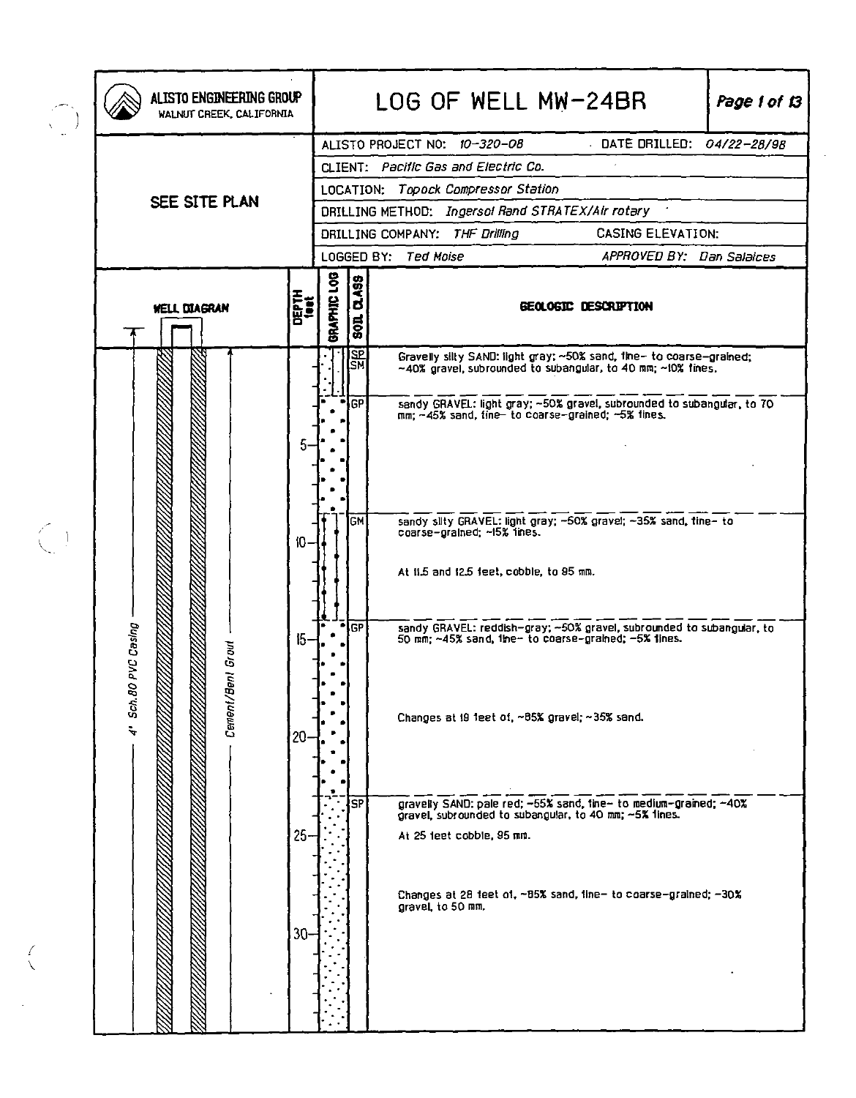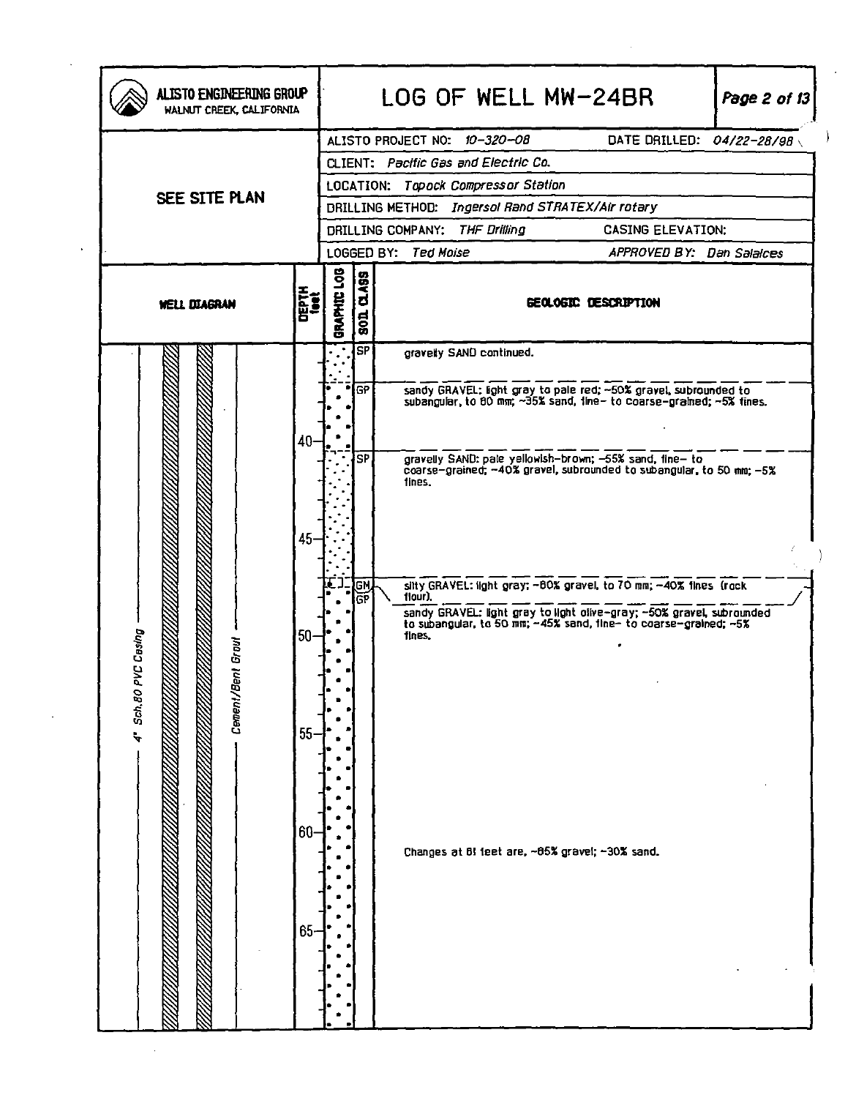| ALISTO ENGINEERING GROUP<br>WALNUT CREEK, CALIFORNIA |                      |             |                                          | LOG OF WELL MW-24BR                                                                                                                                 |                           | Page 2 of 13 |
|------------------------------------------------------|----------------------|-------------|------------------------------------------|-----------------------------------------------------------------------------------------------------------------------------------------------------|---------------------------|--------------|
|                                                      |                      |             |                                          | ALISTO PROJECT NO: 10-320-08                                                                                                                        | DATE DRILLED: 04/22-28/98 |              |
|                                                      |                      |             |                                          | CLIENT: Pacific Gas and Electric Co.                                                                                                                |                           |              |
| SEE SITE PLAN                                        |                      |             |                                          | LOCATION: Topock Compressor Station                                                                                                                 |                           |              |
|                                                      |                      |             |                                          | DRILLING METHOD: Ingersol Rand STRATEX/Air rotary                                                                                                   |                           |              |
|                                                      |                      |             |                                          | DRILLING COMPANY: THE Drilling                                                                                                                      | <b>CASING ELEVATION:</b>  |              |
|                                                      |                      |             |                                          | LOGGED BY: Ted Moise                                                                                                                                | APPROVED BY: Dan Salaices |              |
| <b>WELL DIAGRAN</b>                                  | DEPTH<br><b>Leat</b> | BRAPHIC LOB | <b>DASS</b><br>$\overline{\textbf{301}}$ |                                                                                                                                                     | GEOLOGIC DESCRIPTION      |              |
|                                                      |                      |             | SP                                       | gravely SAND continued.                                                                                                                             |                           |              |
|                                                      |                      |             | ſGP                                      | sandy GRAVEL: light gray to pale red; ~50% gravel, subrounded to subangular, to 80 mm; ~35% sand, tine- to coarse-grained; ~5% tines.               |                           |              |
|                                                      | 40                   |             | <b>SP</b>                                | gravelly SAND: pale yellowish-brown; -55% sand, fine- to<br>coarse-grained; -40% gravel, subrounded to subangular, to 50 mm; -5%                    |                           |              |
|                                                      | 45                   |             |                                          | fines.                                                                                                                                              |                           |              |
|                                                      |                      |             | ĮGМ,<br>ĞΡ                               | silty GRAVEL: light gray; -80% gravel, to 70 mm; -40% fines (rock<br>flour).                                                                        |                           |              |
| Casing<br>Groul                                      | $50-$                |             |                                          | sandy GRAVEL: light gray to light olive-gray; -50% gravel, subrounded<br>to subangular, to 50 mm; -45% sand, fine- to coarse-grained; -5%<br>tines. |                           |              |
| 4 Sch.80 PVC<br>Cement/Bent                          |                      |             |                                          |                                                                                                                                                     |                           |              |
|                                                      | 55                   |             |                                          |                                                                                                                                                     |                           |              |
|                                                      |                      |             |                                          |                                                                                                                                                     |                           |              |
| 60                                                   |                      |             |                                          | Changes at 81 feet are, ~65% gravel; ~30% sand.                                                                                                     |                           |              |
|                                                      | $65 -$               |             |                                          |                                                                                                                                                     |                           |              |
|                                                      |                      |             |                                          |                                                                                                                                                     |                           |              |
|                                                      |                      |             |                                          |                                                                                                                                                     |                           |              |

 $\sim$   $\sim$ 

 $\mathbb{R}^2$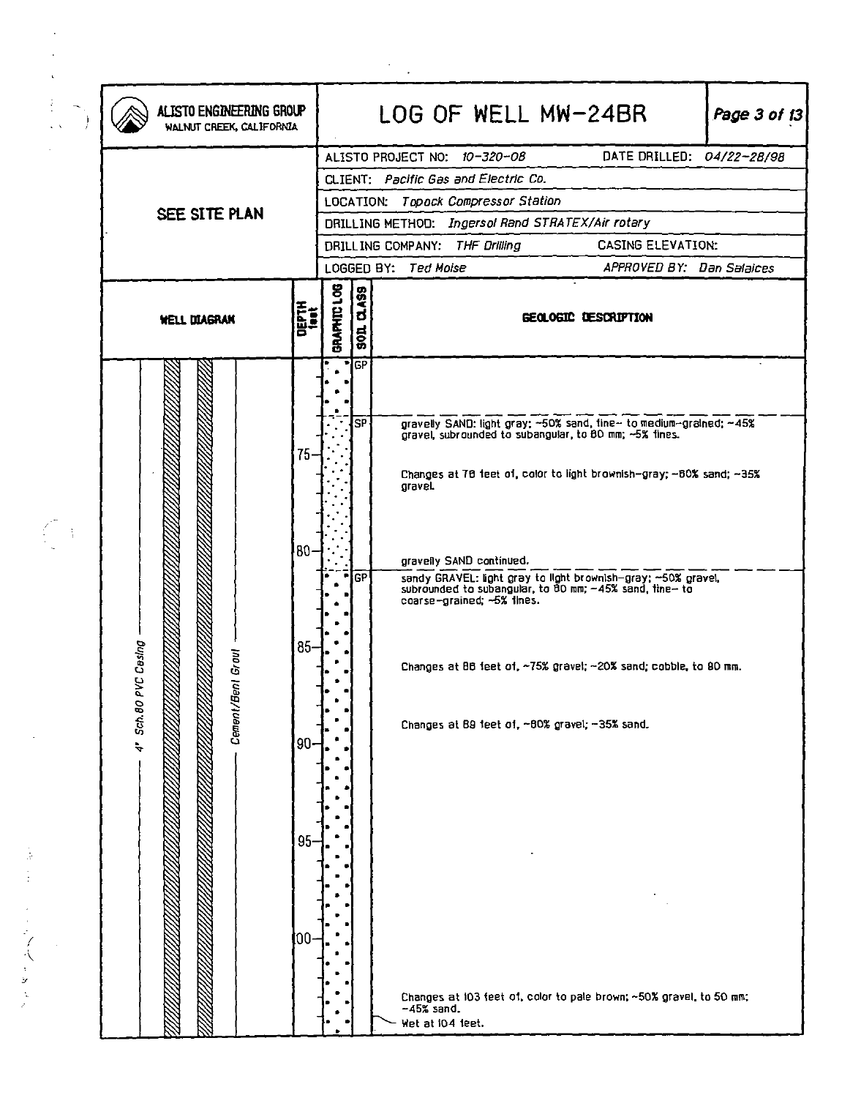

(

J.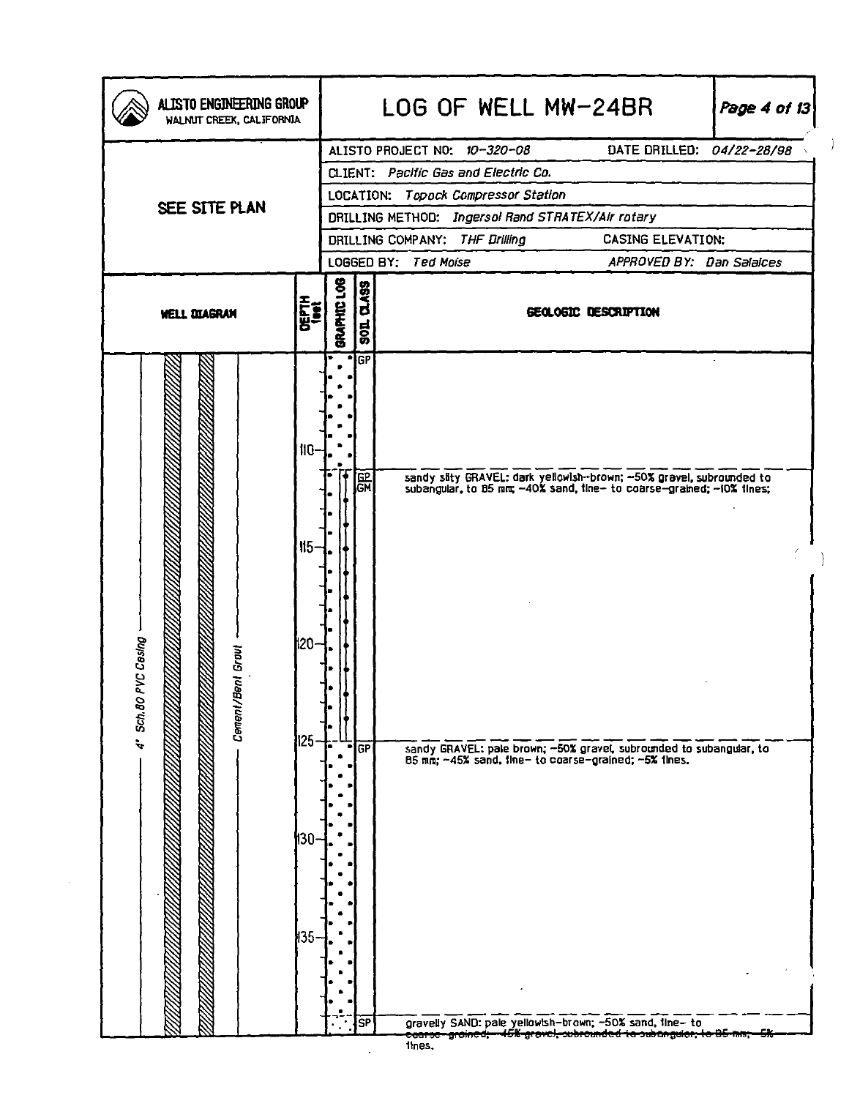|                          | WALNUT CREEK, CALIFORNIA |                                       |             |                               | ALISTO PROJECT NO: 10-320-08                                                                                                                                                                                                                                         | DATE DRILLED: 04/22-28/98   |  |
|--------------------------|--------------------------|---------------------------------------|-------------|-------------------------------|----------------------------------------------------------------------------------------------------------------------------------------------------------------------------------------------------------------------------------------------------------------------|-----------------------------|--|
|                          |                          |                                       |             |                               | CLIENT: Pacific Gas and Electric Co.                                                                                                                                                                                                                                 |                             |  |
|                          |                          |                                       |             |                               | LOCATION: Topock Compressor Station                                                                                                                                                                                                                                  |                             |  |
|                          | SEE SITE PLAN            |                                       |             |                               | DRILLING METHOD: Ingersol Rand STRATEX/Air rotary                                                                                                                                                                                                                    |                             |  |
|                          |                          |                                       |             |                               | DRILLING COMPANY:<br>THF Drilling                                                                                                                                                                                                                                    | <b>CASING ELEVATION:</b>    |  |
|                          |                          |                                       |             |                               | LOGGED BY: Ted Moise                                                                                                                                                                                                                                                 | APPROVED BY: Dan Salaices   |  |
|                          | <b>WELL DIAGRAM</b>      | DEPTH<br>1001                         | BRAFHIC LOB | <b>Q.ASS</b><br>$\frac{1}{9}$ |                                                                                                                                                                                                                                                                      | <b>GEOLOGIC DESCRIPTION</b> |  |
| C Cesing<br>4' Sch.80 PI | n Grout<br>Cement/Be     | NO-<br>$II5-$<br>120-<br>125-<br>130- | ∙∣          | <b>GP</b><br>뗾<br>GP          | sandy slty GRAVEL: dark yellowish-brown; -50% gravel, subrounded to subangular, to 85 mm; -40% sand, tine- to coarse-grained; -10% tines;<br>sandy GRAVEL: pale brown; ~50% gravel, subrounded to subangular, to B5 mm; ~45% sand, the- to coarse-grained; ~5% thes. |                             |  |
|                          |                          | I35.                                  |             |                               |                                                                                                                                                                                                                                                                      |                             |  |

 $\mathfrak{j}$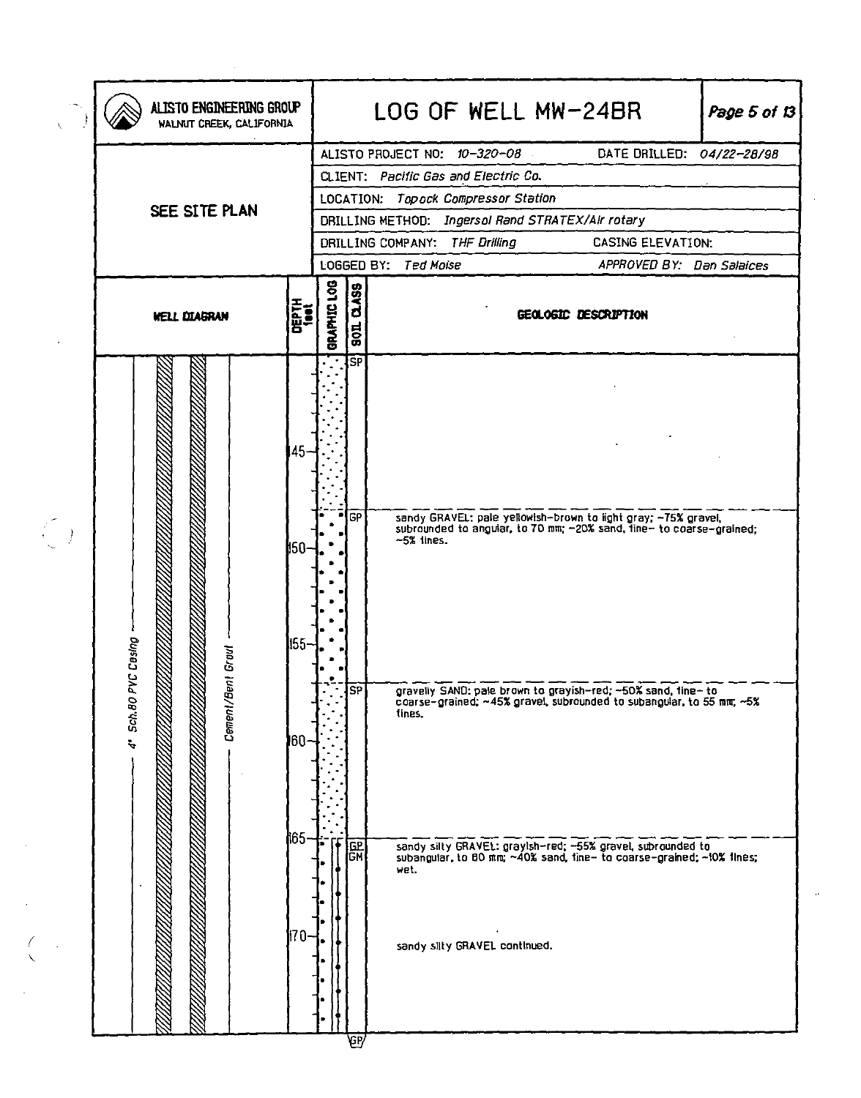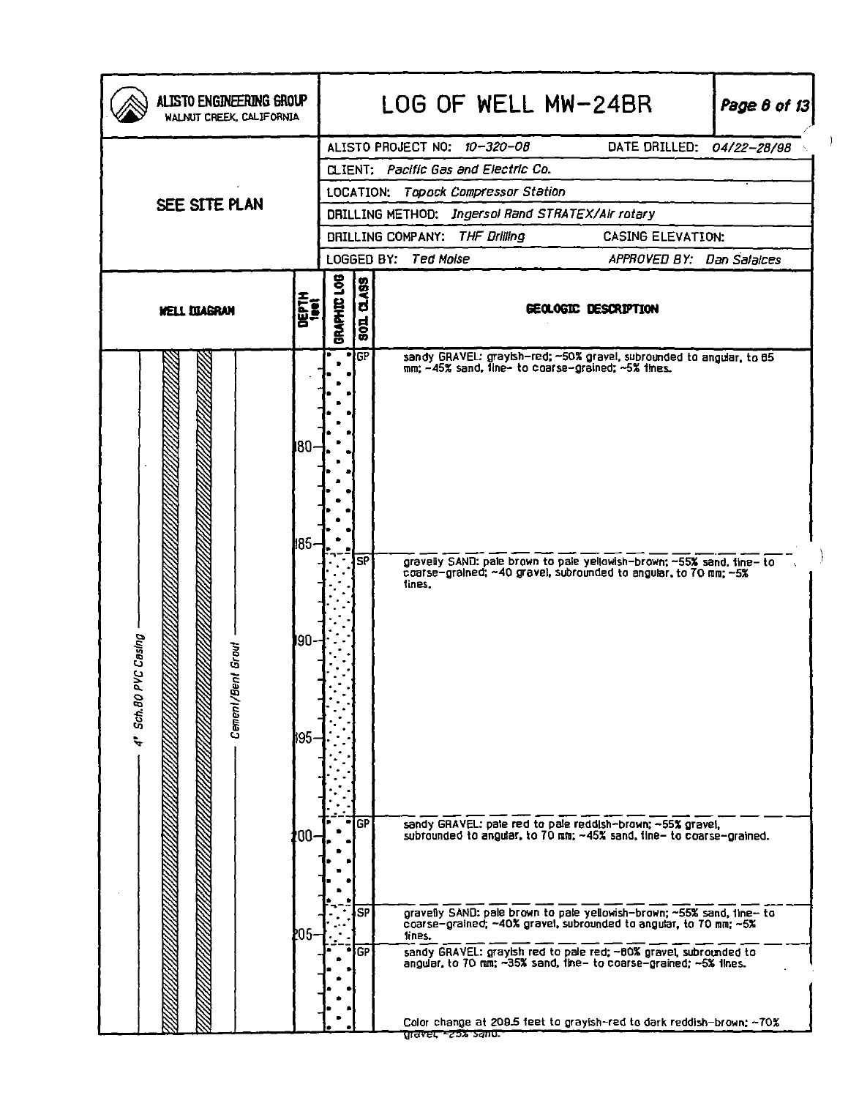| ALISTO ENGINEERING GROUP<br>WALNUT CREEK, CALIFORNIA |                                              |                                      |                                          | LOG OF WELL MW-24BR                                                                                                                                                                                                                                                                                                                                                                                                                                                                                                                                                                                                                                                                                                         |                           | Page 6 of 13 |  |  |  |  |
|------------------------------------------------------|----------------------------------------------|--------------------------------------|------------------------------------------|-----------------------------------------------------------------------------------------------------------------------------------------------------------------------------------------------------------------------------------------------------------------------------------------------------------------------------------------------------------------------------------------------------------------------------------------------------------------------------------------------------------------------------------------------------------------------------------------------------------------------------------------------------------------------------------------------------------------------------|---------------------------|--------------|--|--|--|--|
|                                                      |                                              |                                      |                                          | ALISTO PROJECT NO: 10-320-08                                                                                                                                                                                                                                                                                                                                                                                                                                                                                                                                                                                                                                                                                                | DATE DRILLED: 04/22-28/98 |              |  |  |  |  |
|                                                      |                                              | CLIENT: Pacific Gas and Electric Co. |                                          |                                                                                                                                                                                                                                                                                                                                                                                                                                                                                                                                                                                                                                                                                                                             |                           |              |  |  |  |  |
| SEE SITE PLAN                                        |                                              | LOCATION: Topock Compressor Station  |                                          |                                                                                                                                                                                                                                                                                                                                                                                                                                                                                                                                                                                                                                                                                                                             |                           |              |  |  |  |  |
|                                                      |                                              |                                      |                                          | DRILLING METHOD: Ingersol Rand STRATEX/Air rotary                                                                                                                                                                                                                                                                                                                                                                                                                                                                                                                                                                                                                                                                           |                           |              |  |  |  |  |
|                                                      |                                              |                                      |                                          | BRILLING COMPANY: THE Drilling                                                                                                                                                                                                                                                                                                                                                                                                                                                                                                                                                                                                                                                                                              | <b>CASING ELEVATION:</b>  |              |  |  |  |  |
|                                                      |                                              |                                      |                                          | LOGGED BY:<br>Ted Moise                                                                                                                                                                                                                                                                                                                                                                                                                                                                                                                                                                                                                                                                                                     | APPROVED BY: Dan Salaices |              |  |  |  |  |
| <b>WELL DIAGRAN</b>                                  | DEPTH<br>1941                                | <b>GRAPHIC LOG</b>                   | <b>SOL 01.89</b>                         |                                                                                                                                                                                                                                                                                                                                                                                                                                                                                                                                                                                                                                                                                                                             | GEOLOGIC DESCRIPTION      |              |  |  |  |  |
| VC Casing<br>nl Grout<br>4' Sch.BOP<br>Cement/Be     | 180.<br>JB5.<br>190.<br>∦95∙<br>!00-<br>205. | o)                                   | GP<br>SP<br><b>GP</b><br><b>SP</b><br>GP | sandy GRAVEL: graytsh-red; ~50% gravel, subrounded to angular, to 85<br>mm; -45% sand, line- to coarse-grained; -5% tines.<br>gravelly SAND: pale brown to pale yellowish-brown; ~55% sand, fine- to<br>coarse-grained: ~40 gravel, subrounded to angular, to 70 mm; ~5%<br>tines.<br>sandy GRAVEL: pale red to pale reddish-brown; ~55% gravel,<br>subrounded to angular, to 70 mm; ~45% sand, fine- to coarse-grained.<br>gravelly SAND: pale brown to pale yellowish-brown; ~55% sand, fine- to<br>coarse-grained, ~40% gravel, subrounded to angular, to 70 mm; ~5%<br>lines.<br>sandy GRAVEL: grayish red to pale red; ~80% gravel, subrounded to<br>angular, to 70 nm; -35% sand, tine- to coarse-grained; -5% lines. |                           |              |  |  |  |  |
|                                                      |                                              |                                      |                                          | Color change at 209.5 feet to grayish-red to dark reddish-brown; ~70%<br>पावरस्ट ~ट5% ऽवाण                                                                                                                                                                                                                                                                                                                                                                                                                                                                                                                                                                                                                                  |                           |              |  |  |  |  |

 $\bar{L}$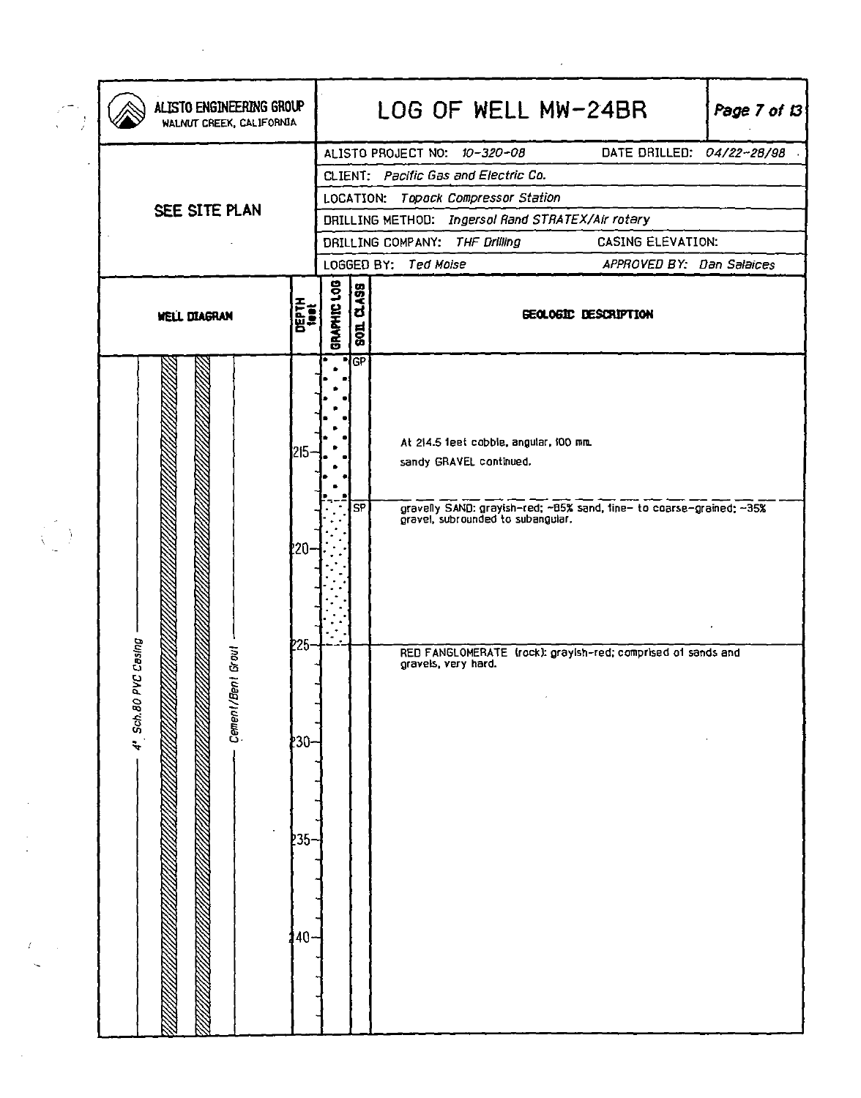|                         | ALISTO ENGINEERING GROUP<br>WALNUT CREEK, CALIFORNIA |                                             |             |                        |                                                                                         | LOG OF WELL MW-24BR                                                                                                                                                       | Page 7 of 13 |
|-------------------------|------------------------------------------------------|---------------------------------------------|-------------|------------------------|-----------------------------------------------------------------------------------------|---------------------------------------------------------------------------------------------------------------------------------------------------------------------------|--------------|
|                         |                                                      |                                             |             |                        | ALISTO PROJECT NO: 10-320-08                                                            | DATE DRILLED: 04/22-28/98                                                                                                                                                 |              |
|                         |                                                      |                                             |             |                        | CLIENT: Pacific Gas and Electric Co.                                                    |                                                                                                                                                                           |              |
|                         | SEE SITE PLAN                                        |                                             |             |                        | LOCATION: Topock Compressor Station                                                     |                                                                                                                                                                           |              |
|                         |                                                      |                                             |             |                        |                                                                                         | DRILLING METHOD: Ingersol Rand STRATEX/Air rotary                                                                                                                         |              |
|                         |                                                      |                                             |             |                        | DRILLING COMPANY: THE Drilling                                                          | <b>CASING ELEVATION:</b>                                                                                                                                                  |              |
|                         |                                                      |                                             |             |                        | LOGGED BY: Ted Moise                                                                    | APPROVED BY: Dan Salaices                                                                                                                                                 |              |
|                         | <b>WELL DIAGRAM</b>                                  | <b>DEPTH</b>                                | GRAPHIC LOG | son a Ass              |                                                                                         | GEOLOGIC DESCRIPTION                                                                                                                                                      |              |
| aus<br>4' Sch.80 PVC Ca | Cement/Bent Grout                                    | 1215<br>Ł20-<br>P25<br>Þ30-<br>≹35-<br>≬40- |             | <b>GP</b><br><b>SP</b> | At 214.5 feet cobble, angular, 100 mm<br>sandy GRAVEL continued.<br>gravels, very hard. | gravelly SAND: grayish-red; ~85% sand, fine- to coarse-grained; ~35%<br>gravel, subrounded to subangular.<br>RED FANGLOMERATE (rock): gray(sh-red; comprised of sands and |              |

 $\label{eq:2.1} \frac{1}{\sqrt{2}}\int_{\mathbb{R}^3}\frac{1}{\sqrt{2}}\left(\frac{1}{\sqrt{2}}\right)^2\frac{1}{\sqrt{2}}\left(\frac{1}{\sqrt{2}}\right)^2\frac{1}{\sqrt{2}}\left(\frac{1}{\sqrt{2}}\right)^2.$ 

Ŷ,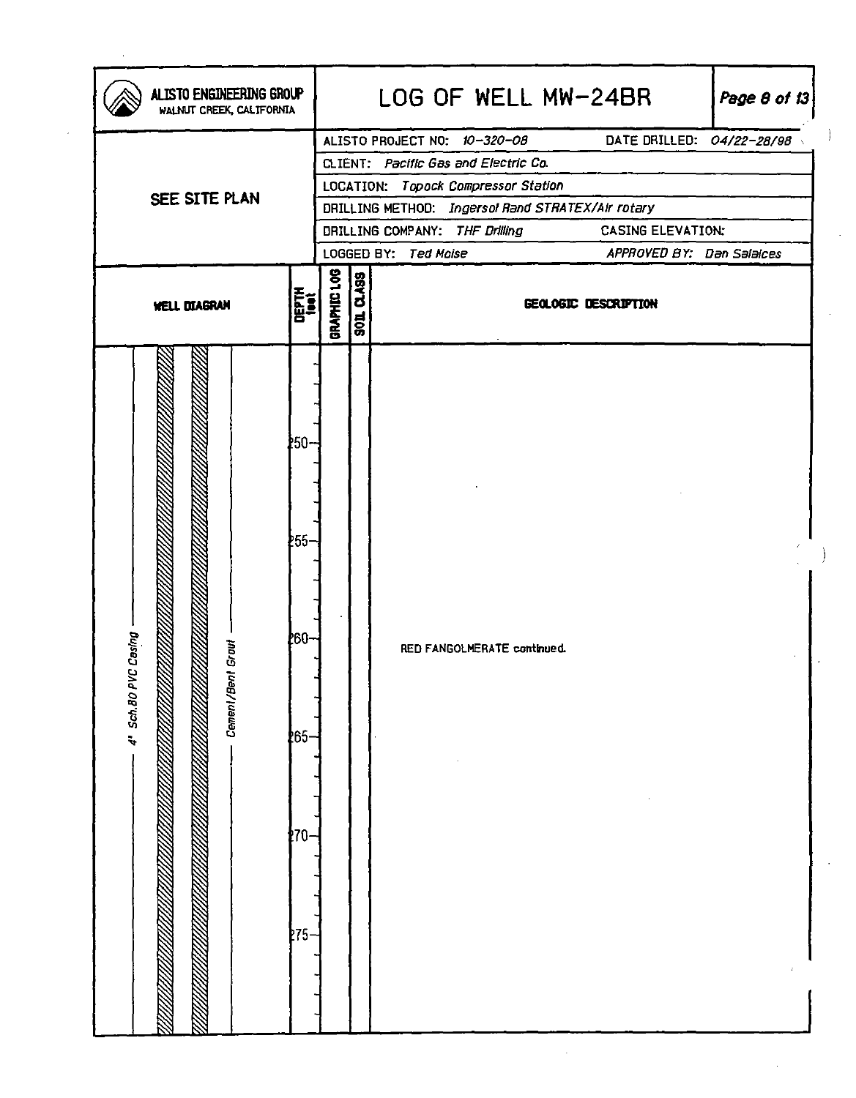| ALISTO ENGINEERING GROUP<br>WALNUT CREEK, CALIFORNIA |                                              |                                 | LOG OF WELL MW-24BR                                        | Page 8 of $13$ |
|------------------------------------------------------|----------------------------------------------|---------------------------------|------------------------------------------------------------|----------------|
|                                                      |                                              |                                 | DATE DRILLED: 04/22-28/98<br>ALISTO PROJECT NO: 10-320-08  |                |
|                                                      |                                              |                                 | CLIENT: Pacific Gas and Electric Co.                       |                |
| SEE SITE PLAN                                        |                                              |                                 | LOCATION: Topock Compressor Station                        |                |
|                                                      |                                              |                                 | DRILLING METHOD: Ingersol Rand STRATEX/Air rotary          |                |
|                                                      |                                              |                                 | <b>CASING ELEVATION:</b><br>DRILLING COMPANY: THF Drilling |                |
|                                                      |                                              |                                 | LOGGED BY: Ted Maise<br>APPROVED BY: Dan Salaices          |                |
| <b>WELL DIAGRAM</b>                                  | DEPTH<br>Loot                                | GRAPHIC LOG<br><b>SOL CLASS</b> | GEOLOGIC DESCRIPTION                                       |                |
| Casing<br>Gr out<br>4' Sch.80 PVC<br>Cement/Bent     | 150-<br>≹55-<br>060-<br>∤65-<br>170-<br>275- |                                 | RED FANGOLMERATE continued.                                |                |

 $\bar{Y}$ 

 $\cdot$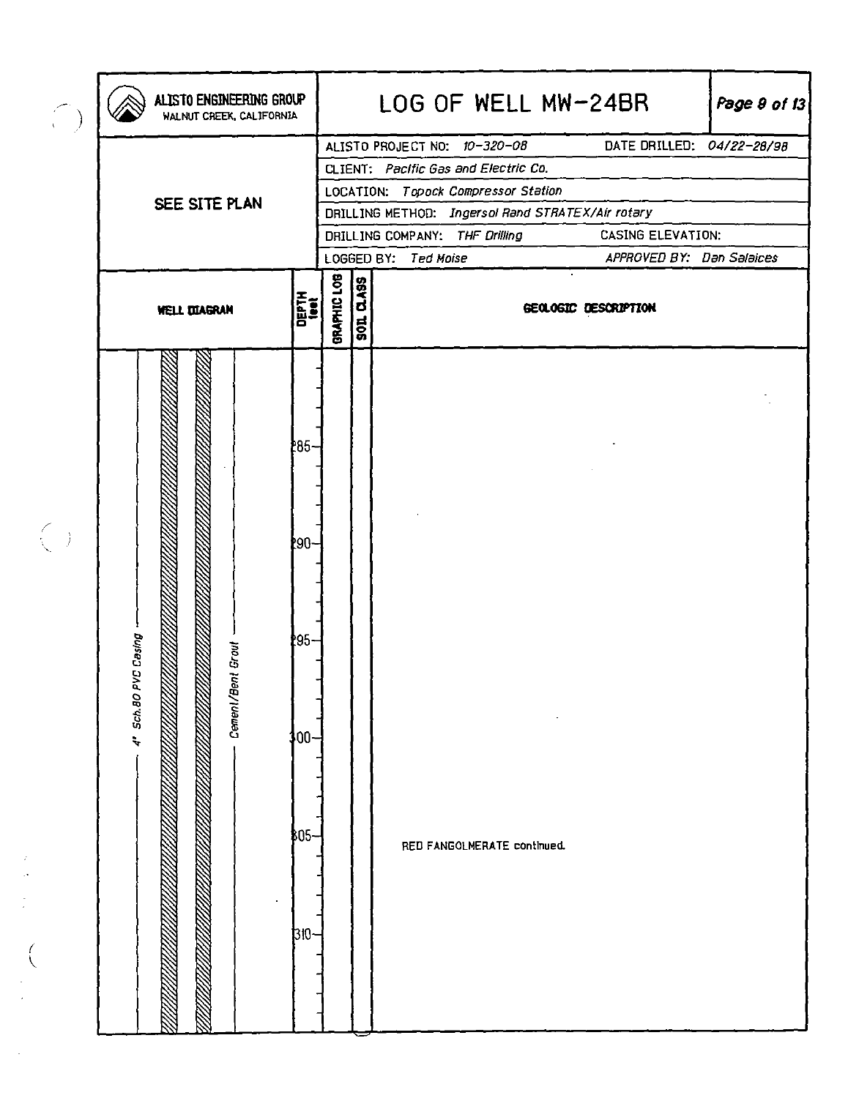|                                        | ALISTO ENGINEERING GROUP<br>WALNUT CREEK, CALIFORNIA |                                                                     |                                     |                                                   | LOG OF WELL MW-24BR                  |                           | Page $9$ of 13 |  |  |  |
|----------------------------------------|------------------------------------------------------|---------------------------------------------------------------------|-------------------------------------|---------------------------------------------------|--------------------------------------|---------------------------|----------------|--|--|--|
|                                        |                                                      |                                                                     |                                     |                                                   | ALISTO PROJECT NO: 10-320-08         | DATE DRILLED: 04/22-28/98 |                |  |  |  |
|                                        |                                                      |                                                                     |                                     |                                                   | CLIENT: Pacific Gas and Electric Co. |                           |                |  |  |  |
|                                        | SEE SITE PLAN                                        |                                                                     | LOCATION: Topock Compressor Station |                                                   |                                      |                           |                |  |  |  |
|                                        |                                                      |                                                                     |                                     | DRILLING METHOD: Ingersol Rand STRATEX/Air rotary |                                      |                           |                |  |  |  |
|                                        |                                                      |                                                                     |                                     | DRILLING COMPANY: THF Drilling                    | <b>CASING ELEVATION:</b>             |                           |                |  |  |  |
|                                        |                                                      |                                                                     |                                     |                                                   | LOGGED BY: Ted Moise                 | APPROVED BY: Dan Salaices |                |  |  |  |
|                                        | <b>WELL DIAGRAN</b>                                  | DEPTH<br>Liet                                                       | BRAPHIC LOB                         | <b>SOIL CLASS</b>                                 |                                      | GEOLOGIC DESCRIPTION      |                |  |  |  |
| $\begin{pmatrix} 1 \\ 1 \end{pmatrix}$ | /C Casing<br>Cement/Bent Grout<br>4' Sch. 80 P       | <b>285-</b><br><b>2</b> 90-<br><b>05-</b><br>\$00-<br>\$05-<br>310- |                                     |                                                   | RED FANGOLMERATE continued.          |                           |                |  |  |  |

 $\begin{pmatrix} 1 & 1 \\ 1 & 1 \end{pmatrix}$ 

 $\begin{pmatrix} 1 & 1 \\ 1 & 1 \\ 1 & 1 \end{pmatrix}$ 

ł,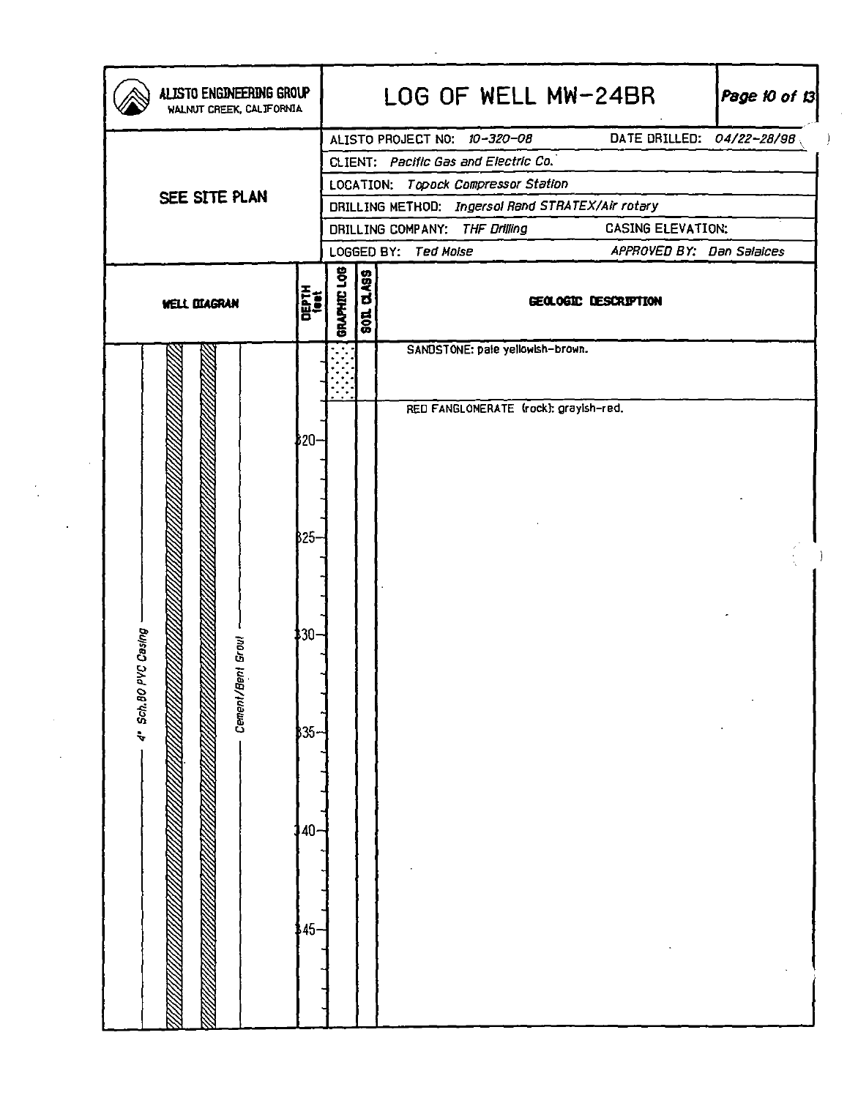| ALISTO ENGINEERING GROUP<br>WALNUT CREEK, CALIFORNIA |                   |               |             |               | LOG OF WELL MW-24BR                               |                           | Page 10 of 13 |
|------------------------------------------------------|-------------------|---------------|-------------|---------------|---------------------------------------------------|---------------------------|---------------|
|                                                      |                   |               |             |               | ALISTO PROJECT NO: 10-320-08                      | DATE DRILLED: 04/22-28/98 |               |
|                                                      |                   |               |             |               | CLIENT: Pacific Gas and Electric Co.              |                           |               |
| SEE SITE PLAN                                        |                   |               |             |               | LOCATION: Topock Compressor Station               |                           |               |
|                                                      |                   |               |             |               | DRILLING METHOD: Ingersal Rand STRATEX/Air rotary |                           |               |
|                                                      |                   |               |             |               | DRILLING COMPANY: THF Drilling                    | <b>CASING ELEVATION:</b>  |               |
|                                                      |                   |               |             |               | LOGGED BY: Ted Moise                              | APPROVED BY: Dan Salaices |               |
| <b>WELL DIAGRAN</b>                                  |                   | DEPTH<br>1001 | GRAPHIC LOG | 0.499<br>1000 |                                                   | GEOLOGIC DESCRIPTION      |               |
|                                                      |                   |               |             |               | SANDSTONE: pale yellowsh-brown.                   |                           |               |
|                                                      |                   |               |             |               | RED FANGLOMERATE (rock): grayish-red.             |                           |               |
|                                                      |                   | 320-          |             |               |                                                   |                           |               |
|                                                      |                   |               |             |               |                                                   |                           |               |
|                                                      |                   |               |             |               |                                                   |                           |               |
|                                                      |                   |               |             |               |                                                   |                           |               |
|                                                      |                   | B25-          |             |               |                                                   |                           |               |
|                                                      |                   |               |             |               |                                                   |                           |               |
|                                                      |                   |               |             |               |                                                   |                           |               |
|                                                      |                   |               |             |               |                                                   |                           |               |
| /C Casing                                            |                   | 30-           |             |               |                                                   |                           |               |
|                                                      | Cement/Bent Grout |               |             |               |                                                   |                           |               |
| 4" Sch.80 P<br>巡<br>77 (11)                          |                   |               |             |               |                                                   |                           |               |
|                                                      |                   |               |             |               |                                                   |                           |               |
|                                                      |                   | ₿35-          |             |               |                                                   |                           |               |
|                                                      |                   |               |             |               |                                                   |                           |               |
|                                                      |                   |               |             |               |                                                   |                           |               |
|                                                      |                   |               |             |               |                                                   |                           |               |
|                                                      |                   | 40-           |             |               |                                                   |                           |               |
|                                                      |                   |               |             |               |                                                   |                           |               |
|                                                      |                   |               |             |               |                                                   |                           |               |
|                                                      |                   | .45∤          |             |               |                                                   |                           |               |
|                                                      |                   |               |             |               |                                                   |                           |               |
|                                                      |                   |               |             |               |                                                   |                           |               |
|                                                      |                   |               |             |               |                                                   |                           |               |
|                                                      |                   |               |             |               |                                                   |                           |               |

 $\label{eq:2} \frac{1}{2} \sum_{i=1}^n \frac{1}{2} \sum_{j=1}^n \frac{1}{2} \sum_{j=1}^n \frac{1}{2} \sum_{j=1}^n \frac{1}{2} \sum_{j=1}^n \frac{1}{2} \sum_{j=1}^n \frac{1}{2} \sum_{j=1}^n \frac{1}{2} \sum_{j=1}^n \frac{1}{2} \sum_{j=1}^n \frac{1}{2} \sum_{j=1}^n \frac{1}{2} \sum_{j=1}^n \frac{1}{2} \sum_{j=1}^n \frac{1}{2} \sum_{j=1}^n \frac{1}{$ 

 $\mathcal{L}_{\text{max}}$ 

 $\frac{1}{2}$  .

 $\sim 10^{-11}$ 

 $\begin{pmatrix} 1 \\ 0 \\ 0 \\ 0 \end{pmatrix}$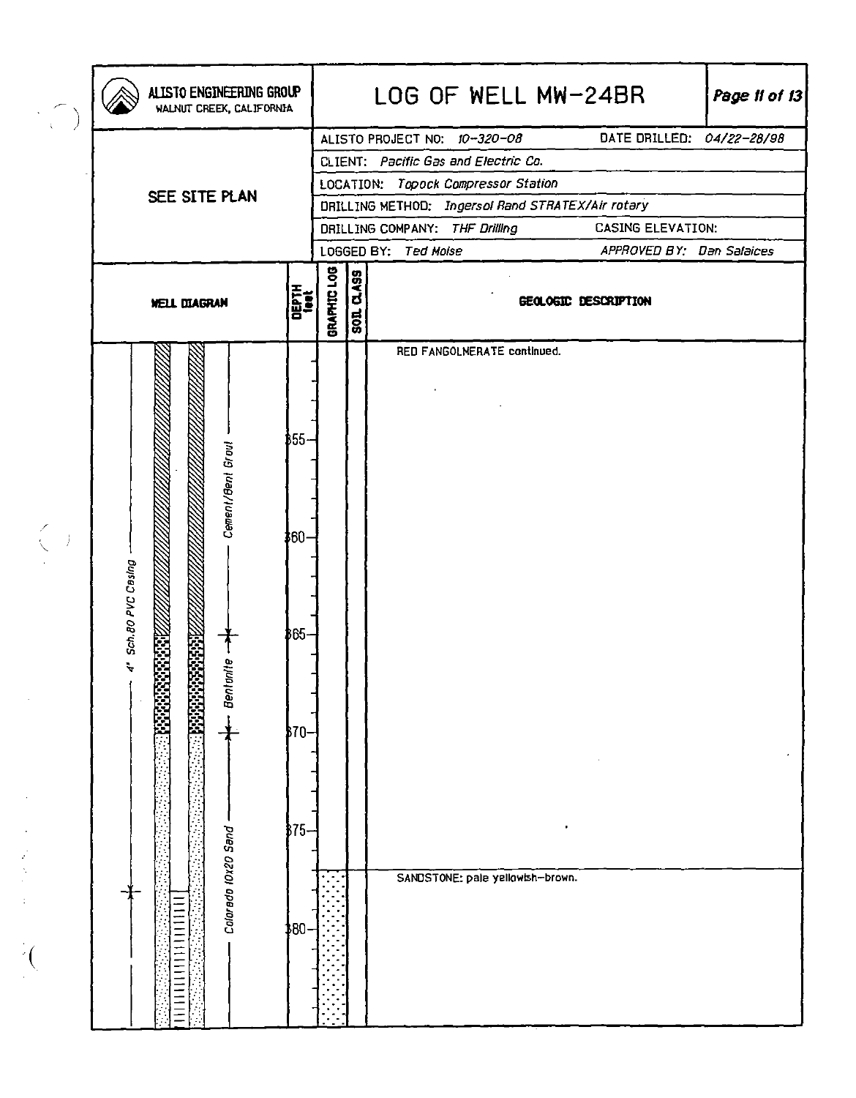|                                                   | ALISTO ENGINEERING GROUP<br>WALNUT CREEK, CALIFORNIA                                                                                                                                                                                                       |                             |                                      |                  | LOG OF WELL MW-24BR                                       | Page 11 of 13 |  |  |  |  |
|---------------------------------------------------|------------------------------------------------------------------------------------------------------------------------------------------------------------------------------------------------------------------------------------------------------------|-----------------------------|--------------------------------------|------------------|-----------------------------------------------------------|---------------|--|--|--|--|
|                                                   |                                                                                                                                                                                                                                                            |                             |                                      |                  | DATE DRILLED: 04/22-28/98<br>ALISTO PROJECT NO: 10-320-08 |               |  |  |  |  |
|                                                   |                                                                                                                                                                                                                                                            |                             | CLIENT: Pacific Gas and Electric Co. |                  |                                                           |               |  |  |  |  |
|                                                   | SEE SITE PLAN                                                                                                                                                                                                                                              |                             |                                      |                  | LOCATION: Topock Compressor Station                       |               |  |  |  |  |
|                                                   |                                                                                                                                                                                                                                                            |                             |                                      |                  | DRILLING METHOD: Ingersol Rand STRATEX/Air rotary         |               |  |  |  |  |
|                                                   |                                                                                                                                                                                                                                                            |                             |                                      |                  | CASING ELEVATION:<br>DRILLING COMPANY: THE Drilling       |               |  |  |  |  |
|                                                   |                                                                                                                                                                                                                                                            |                             |                                      |                  | LOGGED BY: Ted Molse<br>APPROVED BY: Dan Salaices         |               |  |  |  |  |
|                                                   | <b>WELL DIAGRAM</b>                                                                                                                                                                                                                                        | <b>DEPTH</b><br><b>Leat</b> | GRAPHIC LOG                          | <b>SOL CLASS</b> | GEOLOGIC DESCRIPTION                                      |               |  |  |  |  |
|                                                   |                                                                                                                                                                                                                                                            |                             |                                      |                  | RED FANGOLNERATE continued.                               |               |  |  |  |  |
| $\left(\begin{array}{c} 1 \ 1 \end{array}\right)$ | Cement/Bent Grout<br>4" Sch.80 PVC Casing                                                                                                                                                                                                                  | \$55−<br>160-<br>165-       |                                      |                  |                                                           |               |  |  |  |  |
|                                                   | isteration of the control of the control of the control of the control of the control of the control of the co<br>Control of the control of the control of the control of the control of the control of the control of the contro<br>Bentante<br>113333333 | 370-<br>)∛75–               |                                      |                  |                                                           |               |  |  |  |  |
|                                                   | Colorado IOx20 Sand                                                                                                                                                                                                                                        | -08\$                       |                                      |                  | SANDSTONE: pale yellowsh-brown.                           |               |  |  |  |  |

 $\frac{1}{2} \left( \frac{1}{2} \right)$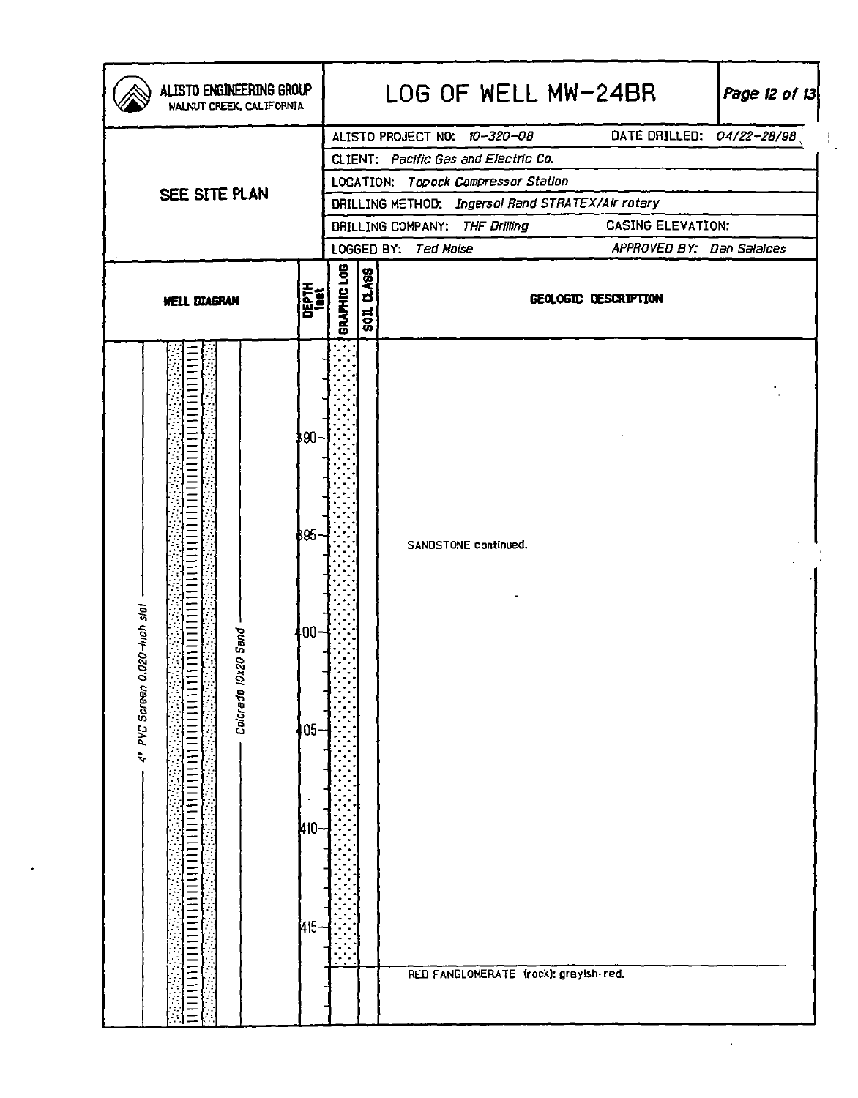| ALISTO ENGINEERING GROUP<br>WALNUT CREEK, CALIFORNIA           |                                              |                                                           |                                         | LOG OF WELL MW-24BR                                           |                           | Page 12 of 13 |  |  |  |  |
|----------------------------------------------------------------|----------------------------------------------|-----------------------------------------------------------|-----------------------------------------|---------------------------------------------------------------|---------------------------|---------------|--|--|--|--|
|                                                                |                                              | DATE DRILLED: 04/22-28/98<br>ALISTO PROJECT NO: 10-320-08 |                                         |                                                               |                           |               |  |  |  |  |
|                                                                |                                              |                                                           |                                         | CLIENT: Pacific Gas and Electric Co.                          |                           |               |  |  |  |  |
|                                                                |                                              |                                                           | LOCATION: Topock Compressor Station     |                                                               |                           |               |  |  |  |  |
| SEE SITE PLAN                                                  |                                              |                                                           |                                         | DRILLING METHOD: Ingersol Rand STRATEX/Air rotary             |                           |               |  |  |  |  |
|                                                                |                                              |                                                           |                                         | DRILLING COMPANY: THE Drilling                                | <b>CASING ELEVATION:</b>  |               |  |  |  |  |
|                                                                |                                              |                                                           |                                         | LOGGED BY: Ted Moise                                          | APPROVED BY: Dan Salaices |               |  |  |  |  |
| <b>WELL DIAGRAM</b>                                            | <b>DEPTH</b><br>Lead                         | <b>GRAPHIC LOG</b>                                        | <b>SBV D</b><br>$\overline{\mathbf{g}}$ |                                                               | GEOLOGIC DESCRIPTION      |               |  |  |  |  |
| .020-Inch slot<br>Coloredo IOx20 Send<br>4' PVC Screen 0<br>₫. | )90-<br>₿95∙<br>-00 <br>05-<br>410-<br>.415− |                                                           |                                         | SANDSTONE continued.<br>RED FANGLOMERATE (rock): graylsh-red. |                           |               |  |  |  |  |

 $\big\}$  .